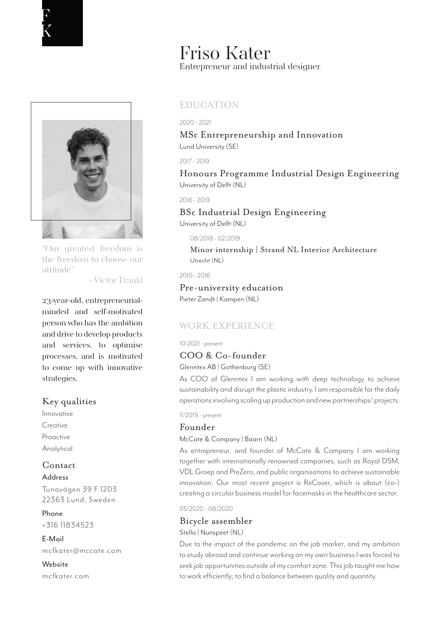



"Our greatest freedom is the freedom to choose our attitude"

- Victor Frankl

23-year-old, entrepreneurialminded and self-motivated person who has the ambition and drive to develop products and services, to optimise processes, and is motivated to come up with innovative strategies.

# Key qualities

Innovative **Creative** Proactive Analytical

# Contact

Address Tunavägen 39 F 1203

22363 Lund, Sweden

Phone +316 11834523

E-Mail mcfkater@mccate.com

Website mcfkater.com

# Friso Kater Entrepreneur and industrial designer

# EDUCATION

### 2020 - 2021

Lund University (SE) MSc Entrepreneurship and Innovation

2017 - 2019

University of Delft (NL) Honours Programme Industrial Design Engineering

2016 - 2019

# University of Delft (NL) BSc Industrial Design Engineering

08/2018 - 02/2019

Utrecht (NL) Minor internship | Strand NL Interior Architecture

2010 - 2016

Pieter Zandt | Kampen (NL) Pre-university education

# WORK EXPERIENCE

# 10/2021 - present

COO & Co-founder

Glenntex AB | Gothenburg (SE)

As COO of Glenntex I am working with deep technology to achieve sustainability and disrupt the plastic industry. I am responsible for the daily operations involving scaling up production and new partnerships/ projects.

# 11/2019 - present

# Founder

# McCate & Company | Baarn (NL)

As entrepreneur, and founder of McCate & Company I am working together with internationally renowned companies, such as Royal DSM, VDL Groep and PreZero, and public organisations to achieve sustainable innovation. Our most recent project is ReCover, which is about (co-) creating a circular business model for facemasks in the healthcare sector.

05/2020 - 08/2020

# Bicycle assembler

Stella | Nunspeet (NL)

Due to the impact of the pandemic on the job market, and my ambition to study abroad and continue working on my own business I was forced to seek job opportunities outside of my comfort zone. This job taught me how to work efficiently; to find a balance between quality and quantity.